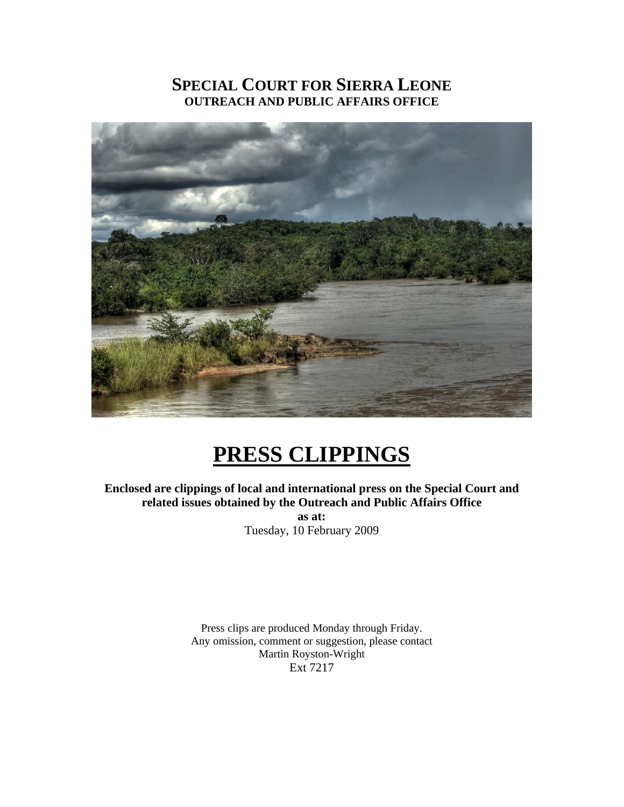# **SPECIAL COURT FOR SIERRA LEONE OUTREACH AND PUBLIC AFFAIRS OFFICE**



# **PRESS CLIPPINGS**

**Enclosed are clippings of local and international press on the Special Court and related issues obtained by the Outreach and Public Affairs Office as at:**  Tuesday, 10 February 2009

> Press clips are produced Monday through Friday. Any omission, comment or suggestion, please contact Martin Royston-Wright Ext 7217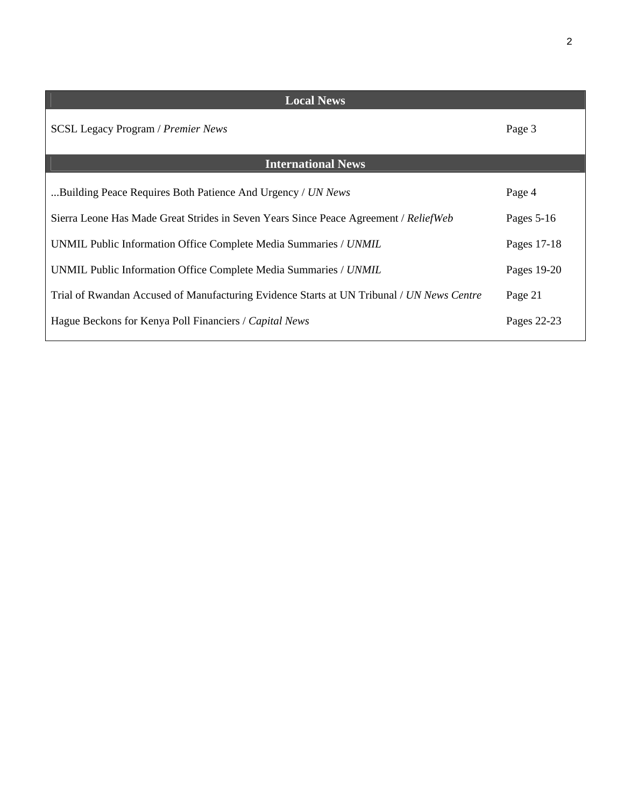| <b>Local News</b>                                                                         |              |  |
|-------------------------------------------------------------------------------------------|--------------|--|
| <b>SCSL Legacy Program / Premier News</b>                                                 | Page 3       |  |
| <b>International News</b>                                                                 |              |  |
| Building Peace Requires Both Patience And Urgency / UN News                               | Page 4       |  |
| Sierra Leone Has Made Great Strides in Seven Years Since Peace Agreement / ReliefWeb      | Pages $5-16$ |  |
| UNMIL Public Information Office Complete Media Summaries / UNMIL                          | Pages 17-18  |  |
| UNMIL Public Information Office Complete Media Summaries / UNMIL                          | Pages 19-20  |  |
| Trial of Rwandan Accused of Manufacturing Evidence Starts at UN Tribunal / UN News Centre | Page 21      |  |
| Hague Beckons for Kenya Poll Financiers / Capital News                                    | Pages 22-23  |  |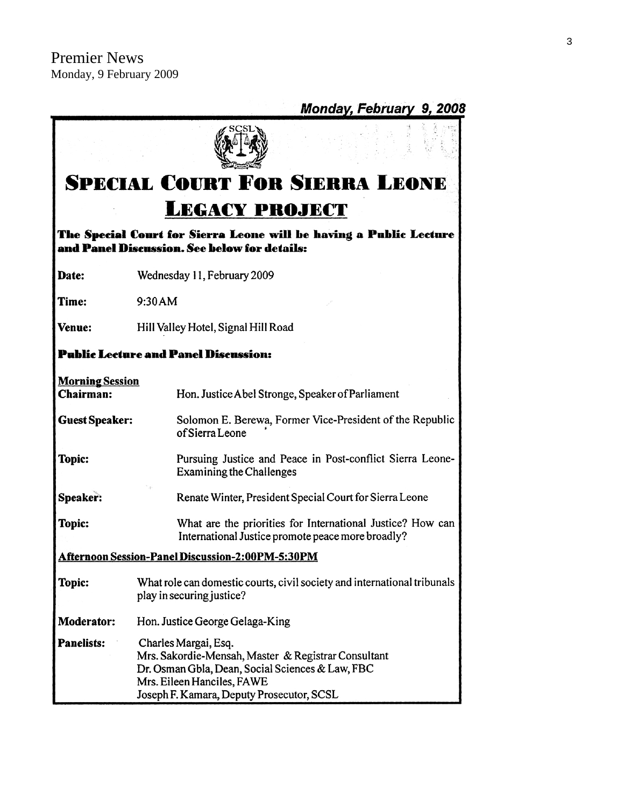|                                     | Monday, February 9, 2008                                                                                                                                                                                   |  |
|-------------------------------------|------------------------------------------------------------------------------------------------------------------------------------------------------------------------------------------------------------|--|
|                                     |                                                                                                                                                                                                            |  |
|                                     | <b>SPECIAL COURT FOR SIERRA LEONE</b>                                                                                                                                                                      |  |
|                                     | <b>LEGACY PROJECT</b>                                                                                                                                                                                      |  |
|                                     | The Special Court for Sierra Leone will be having a Public Lecture<br>and Panel Discussion. See below for details:                                                                                         |  |
| <b>Date:</b>                        | Wednesday 11, February 2009                                                                                                                                                                                |  |
| Time:                               | 9:30 AM                                                                                                                                                                                                    |  |
| Venue:                              | Hill Valley Hotel, Signal Hill Road                                                                                                                                                                        |  |
|                                     | <b>Public Lecture and Panel Discussion:</b>                                                                                                                                                                |  |
| <b>Morning Session</b><br>Chairman: | Hon. Justice Abel Stronge, Speaker of Parliament                                                                                                                                                           |  |
| <b>Guest Speaker:</b>               | Solomon E. Berewa, Former Vice-President of the Republic<br>of Sierra Leone                                                                                                                                |  |
| Topic:                              | Pursuing Justice and Peace in Post-conflict Sierra Leone-<br><b>Examining the Challenges</b>                                                                                                               |  |
| Speaker:                            | Renate Winter, President Special Court for Sierra Leone                                                                                                                                                    |  |
| Topic:                              | What are the priorities for International Justice? How can<br>International Justice promote peace more broadly?                                                                                            |  |
|                                     | <b>Afternoon Session-Panel Discussion-2:00PM-5:30PM</b>                                                                                                                                                    |  |
| Topic:                              | What role can domestic courts, civil society and international tribunals<br>play in securing justice?                                                                                                      |  |
| <b>Moderator:</b>                   | Hon. Justice George Gelaga-King                                                                                                                                                                            |  |
| <b>Panelists:</b>                   | Charles Margai, Esq.<br>Mrs. Sakordie-Mensah, Master & Registrar Consultant<br>Dr. Osman Gbla, Dean, Social Sciences & Law, FBC<br>Mrs. Eileen Hanciles, FAWE<br>Joseph F. Kamara, Deputy Prosecutor, SCSL |  |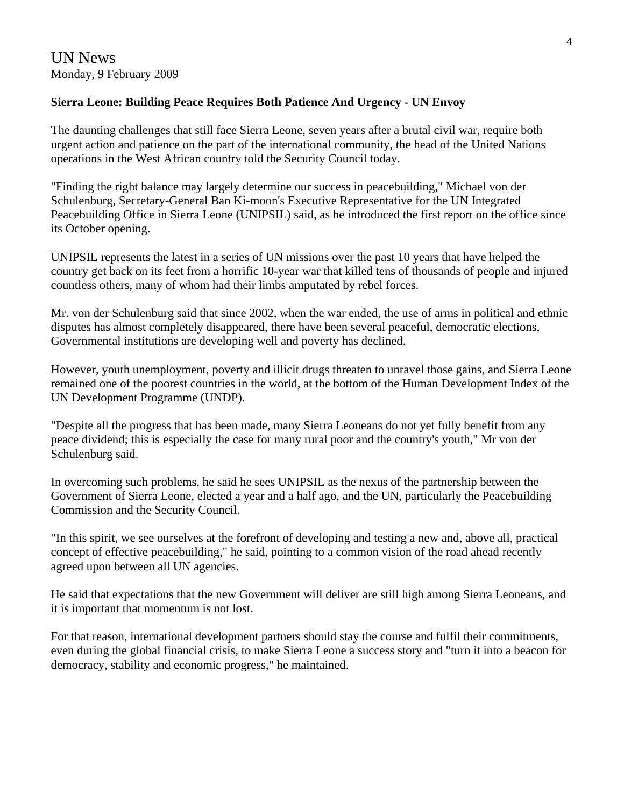# **Sierra Leone: Building Peace Requires Both Patience And Urgency - UN Envoy**

The daunting challenges that still face Sierra Leone, seven years after a brutal civil war, require both urgent action and patience on the part of the international community, the head of the United Nations operations in the West African country told the Security Council today.

"Finding the right balance may largely determine our success in peacebuilding," Michael von der Schulenburg, Secretary-General Ban Ki-moon's Executive Representative for the UN Integrated Peacebuilding Office in Sierra Leone (UNIPSIL) said, as he introduced the first report on the office since its October opening.

UNIPSIL represents the latest in a series of UN missions over the past 10 years that have helped the country get back on its feet from a horrific 10-year war that killed tens of thousands of people and injured countless others, many of whom had their limbs amputated by rebel forces.

Mr. von der Schulenburg said that since 2002, when the war ended, the use of arms in political and ethnic disputes has almost completely disappeared, there have been several peaceful, democratic elections, Governmental institutions are developing well and poverty has declined.

However, youth unemployment, poverty and illicit drugs threaten to unravel those gains, and Sierra Leone remained one of the poorest countries in the world, at the bottom of the Human Development Index of the UN Development Programme (UNDP).

"Despite all the progress that has been made, many Sierra Leoneans do not yet fully benefit from any peace dividend; this is especially the case for many rural poor and the country's youth," Mr von der Schulenburg said.

In overcoming such problems, he said he sees UNIPSIL as the nexus of the partnership between the Government of Sierra Leone, elected a year and a half ago, and the UN, particularly the Peacebuilding Commission and the Security Council.

"In this spirit, we see ourselves at the forefront of developing and testing a new and, above all, practical concept of effective peacebuilding," he said, pointing to a common vision of the road ahead recently agreed upon between all UN agencies.

He said that expectations that the new Government will deliver are still high among Sierra Leoneans, and it is important that momentum is not lost.

For that reason, international development partners should stay the course and fulfil their commitments, even during the global financial crisis, to make Sierra Leone a success story and "turn it into a beacon for democracy, stability and economic progress," he maintained.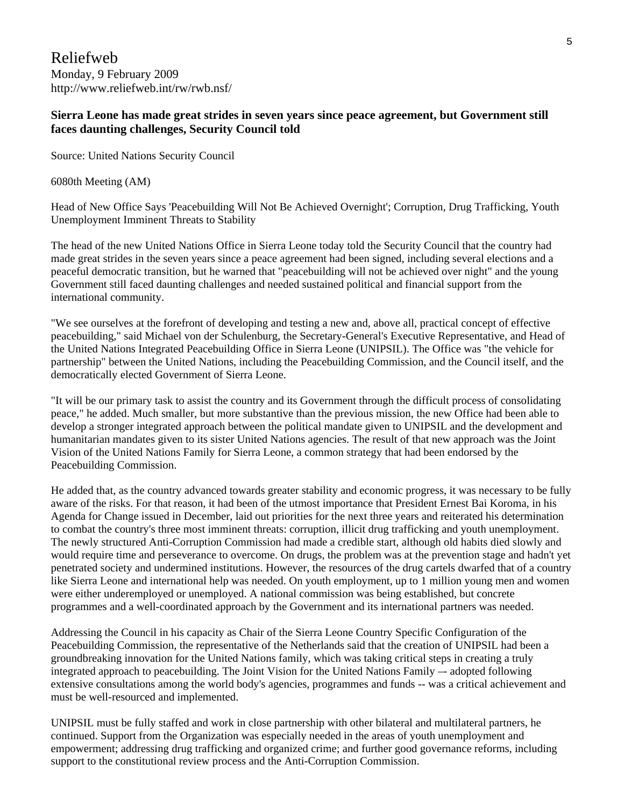Reliefweb Monday, 9 February 2009 http://www.reliefweb.int/rw/rwb.nsf/

#### **Sierra Leone has made great strides in seven years since peace agreement, but Government still faces daunting challenges, Security Council told**

Source: United Nations Security Council

6080th Meeting (AM)

Head of New Office Says 'Peacebuilding Will Not Be Achieved Overnight'; Corruption, Drug Trafficking, Youth Unemployment Imminent Threats to Stability

The head of the new United Nations Office in Sierra Leone today told the Security Council that the country had made great strides in the seven years since a peace agreement had been signed, including several elections and a peaceful democratic transition, but he warned that "peacebuilding will not be achieved over night" and the young Government still faced daunting challenges and needed sustained political and financial support from the international community.

"We see ourselves at the forefront of developing and testing a new and, above all, practical concept of effective peacebuilding," said Michael von der Schulenburg, the Secretary-General's Executive Representative, and Head of the United Nations Integrated Peacebuilding Office in Sierra Leone (UNIPSIL). The Office was "the vehicle for partnership" between the United Nations, including the Peacebuilding Commission, and the Council itself, and the democratically elected Government of Sierra Leone.

"It will be our primary task to assist the country and its Government through the difficult process of consolidating peace," he added. Much smaller, but more substantive than the previous mission, the new Office had been able to develop a stronger integrated approach between the political mandate given to UNIPSIL and the development and humanitarian mandates given to its sister United Nations agencies. The result of that new approach was the Joint Vision of the United Nations Family for Sierra Leone, a common strategy that had been endorsed by the Peacebuilding Commission.

He added that, as the country advanced towards greater stability and economic progress, it was necessary to be fully aware of the risks. For that reason, it had been of the utmost importance that President Ernest Bai Koroma, in his Agenda for Change issued in December, laid out priorities for the next three years and reiterated his determination to combat the country's three most imminent threats: corruption, illicit drug trafficking and youth unemployment. The newly structured Anti-Corruption Commission had made a credible start, although old habits died slowly and would require time and perseverance to overcome. On drugs, the problem was at the prevention stage and hadn't yet penetrated society and undermined institutions. However, the resources of the drug cartels dwarfed that of a country like Sierra Leone and international help was needed. On youth employment, up to 1 million young men and women were either underemployed or unemployed. A national commission was being established, but concrete programmes and a well-coordinated approach by the Government and its international partners was needed.

Addressing the Council in his capacity as Chair of the Sierra Leone Country Specific Configuration of the Peacebuilding Commission, the representative of the Netherlands said that the creation of UNIPSIL had been a groundbreaking innovation for the United Nations family, which was taking critical steps in creating a truly integrated approach to peacebuilding. The Joint Vision for the United Nations Family –- adopted following extensive consultations among the world body's agencies, programmes and funds -- was a critical achievement and must be well-resourced and implemented.

UNIPSIL must be fully staffed and work in close partnership with other bilateral and multilateral partners, he continued. Support from the Organization was especially needed in the areas of youth unemployment and empowerment; addressing drug trafficking and organized crime; and further good governance reforms, including support to the constitutional review process and the Anti-Corruption Commission.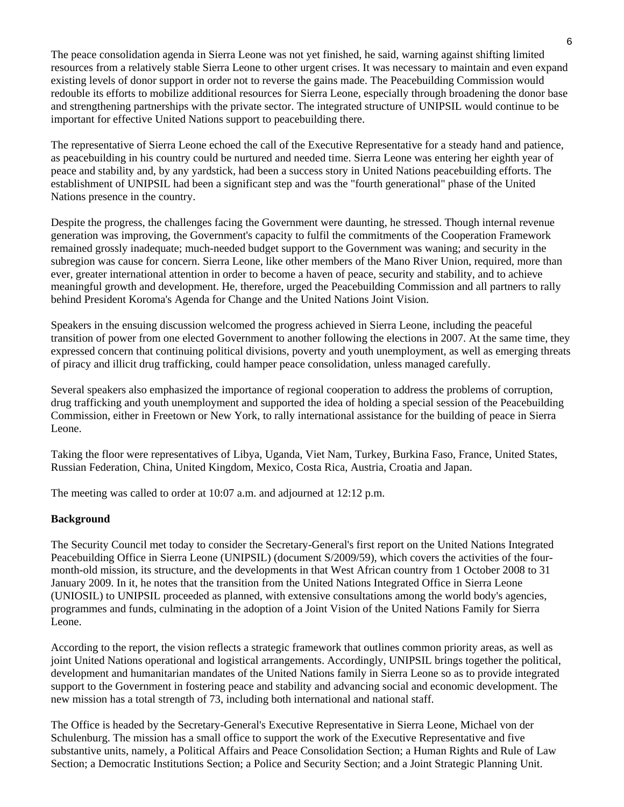The peace consolidation agenda in Sierra Leone was not yet finished, he said, warning against shifting limited resources from a relatively stable Sierra Leone to other urgent crises. It was necessary to maintain and even expand existing levels of donor support in order not to reverse the gains made. The Peacebuilding Commission would redouble its efforts to mobilize additional resources for Sierra Leone, especially through broadening the donor base and strengthening partnerships with the private sector. The integrated structure of UNIPSIL would continue to be important for effective United Nations support to peacebuilding there.

The representative of Sierra Leone echoed the call of the Executive Representative for a steady hand and patience, as peacebuilding in his country could be nurtured and needed time. Sierra Leone was entering her eighth year of peace and stability and, by any yardstick, had been a success story in United Nations peacebuilding efforts. The establishment of UNIPSIL had been a significant step and was the "fourth generational" phase of the United Nations presence in the country.

Despite the progress, the challenges facing the Government were daunting, he stressed. Though internal revenue generation was improving, the Government's capacity to fulfil the commitments of the Cooperation Framework remained grossly inadequate; much-needed budget support to the Government was waning; and security in the subregion was cause for concern. Sierra Leone, like other members of the Mano River Union, required, more than ever, greater international attention in order to become a haven of peace, security and stability, and to achieve meaningful growth and development. He, therefore, urged the Peacebuilding Commission and all partners to rally behind President Koroma's Agenda for Change and the United Nations Joint Vision.

Speakers in the ensuing discussion welcomed the progress achieved in Sierra Leone, including the peaceful transition of power from one elected Government to another following the elections in 2007. At the same time, they expressed concern that continuing political divisions, poverty and youth unemployment, as well as emerging threats of piracy and illicit drug trafficking, could hamper peace consolidation, unless managed carefully.

Several speakers also emphasized the importance of regional cooperation to address the problems of corruption, drug trafficking and youth unemployment and supported the idea of holding a special session of the Peacebuilding Commission, either in Freetown or New York, to rally international assistance for the building of peace in Sierra Leone.

Taking the floor were representatives of Libya, Uganda, Viet Nam, Turkey, Burkina Faso, France, United States, Russian Federation, China, United Kingdom, Mexico, Costa Rica, Austria, Croatia and Japan.

The meeting was called to order at 10:07 a.m. and adjourned at 12:12 p.m.

#### **Background**

The Security Council met today to consider the Secretary-General's first report on the United Nations Integrated Peacebuilding Office in Sierra Leone (UNIPSIL) (document S/2009/59), which covers the activities of the fourmonth-old mission, its structure, and the developments in that West African country from 1 October 2008 to 31 January 2009. In it, he notes that the transition from the United Nations Integrated Office in Sierra Leone (UNIOSIL) to UNIPSIL proceeded as planned, with extensive consultations among the world body's agencies, programmes and funds, culminating in the adoption of a Joint Vision of the United Nations Family for Sierra Leone.

According to the report, the vision reflects a strategic framework that outlines common priority areas, as well as joint United Nations operational and logistical arrangements. Accordingly, UNIPSIL brings together the political, development and humanitarian mandates of the United Nations family in Sierra Leone so as to provide integrated support to the Government in fostering peace and stability and advancing social and economic development. The new mission has a total strength of 73, including both international and national staff.

The Office is headed by the Secretary-General's Executive Representative in Sierra Leone, Michael von der Schulenburg. The mission has a small office to support the work of the Executive Representative and five substantive units, namely, a Political Affairs and Peace Consolidation Section; a Human Rights and Rule of Law Section; a Democratic Institutions Section; a Police and Security Section; and a Joint Strategic Planning Unit.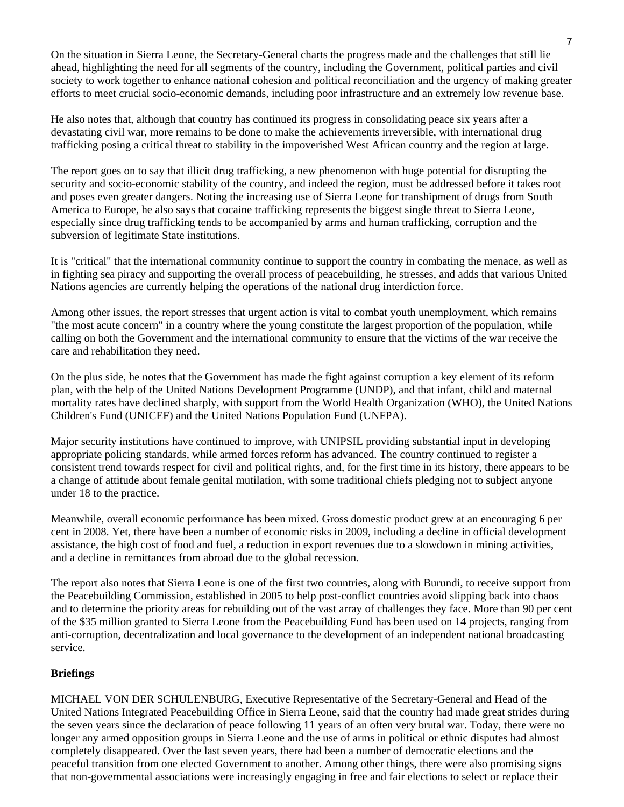On the situation in Sierra Leone, the Secretary-General charts the progress made and the challenges that still lie ahead, highlighting the need for all segments of the country, including the Government, political parties and civil society to work together to enhance national cohesion and political reconciliation and the urgency of making greater efforts to meet crucial socio-economic demands, including poor infrastructure and an extremely low revenue base.

He also notes that, although that country has continued its progress in consolidating peace six years after a devastating civil war, more remains to be done to make the achievements irreversible, with international drug trafficking posing a critical threat to stability in the impoverished West African country and the region at large.

The report goes on to say that illicit drug trafficking, a new phenomenon with huge potential for disrupting the security and socio-economic stability of the country, and indeed the region, must be addressed before it takes root and poses even greater dangers. Noting the increasing use of Sierra Leone for transhipment of drugs from South America to Europe, he also says that cocaine trafficking represents the biggest single threat to Sierra Leone, especially since drug trafficking tends to be accompanied by arms and human trafficking, corruption and the subversion of legitimate State institutions.

It is "critical" that the international community continue to support the country in combating the menace, as well as in fighting sea piracy and supporting the overall process of peacebuilding, he stresses, and adds that various United Nations agencies are currently helping the operations of the national drug interdiction force.

Among other issues, the report stresses that urgent action is vital to combat youth unemployment, which remains "the most acute concern" in a country where the young constitute the largest proportion of the population, while calling on both the Government and the international community to ensure that the victims of the war receive the care and rehabilitation they need.

On the plus side, he notes that the Government has made the fight against corruption a key element of its reform plan, with the help of the United Nations Development Programme (UNDP), and that infant, child and maternal mortality rates have declined sharply, with support from the World Health Organization (WHO), the United Nations Children's Fund (UNICEF) and the United Nations Population Fund (UNFPA).

Major security institutions have continued to improve, with UNIPSIL providing substantial input in developing appropriate policing standards, while armed forces reform has advanced. The country continued to register a consistent trend towards respect for civil and political rights, and, for the first time in its history, there appears to be a change of attitude about female genital mutilation, with some traditional chiefs pledging not to subject anyone under 18 to the practice.

Meanwhile, overall economic performance has been mixed. Gross domestic product grew at an encouraging 6 per cent in 2008. Yet, there have been a number of economic risks in 2009, including a decline in official development assistance, the high cost of food and fuel, a reduction in export revenues due to a slowdown in mining activities, and a decline in remittances from abroad due to the global recession.

The report also notes that Sierra Leone is one of the first two countries, along with Burundi, to receive support from the Peacebuilding Commission, established in 2005 to help post-conflict countries avoid slipping back into chaos and to determine the priority areas for rebuilding out of the vast array of challenges they face. More than 90 per cent of the \$35 million granted to Sierra Leone from the Peacebuilding Fund has been used on 14 projects, ranging from anti-corruption, decentralization and local governance to the development of an independent national broadcasting service.

#### **Briefings**

MICHAEL VON DER SCHULENBURG, Executive Representative of the Secretary-General and Head of the United Nations Integrated Peacebuilding Office in Sierra Leone, said that the country had made great strides during the seven years since the declaration of peace following 11 years of an often very brutal war. Today, there were no longer any armed opposition groups in Sierra Leone and the use of arms in political or ethnic disputes had almost completely disappeared. Over the last seven years, there had been a number of democratic elections and the peaceful transition from one elected Government to another. Among other things, there were also promising signs that non-governmental associations were increasingly engaging in free and fair elections to select or replace their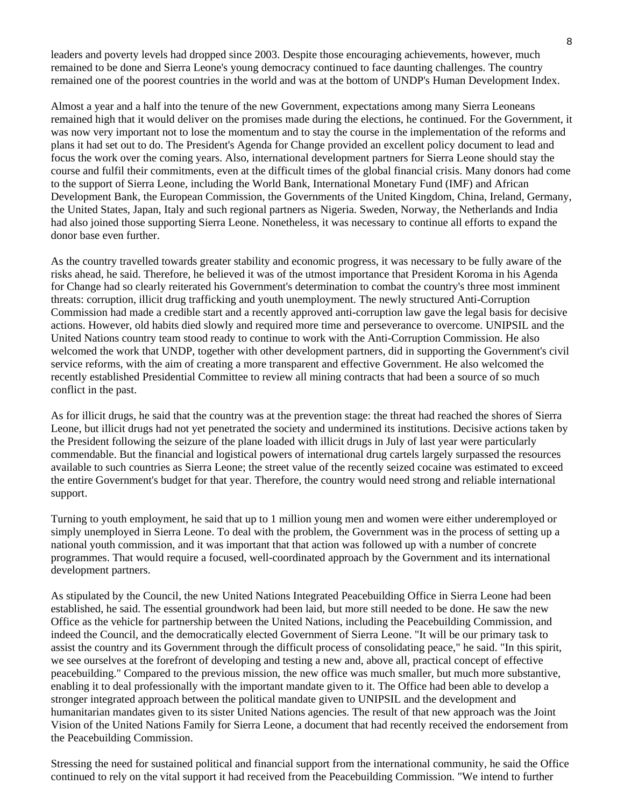leaders and poverty levels had dropped since 2003. Despite those encouraging achievements, however, much remained to be done and Sierra Leone's young democracy continued to face daunting challenges. The country remained one of the poorest countries in the world and was at the bottom of UNDP's Human Development Index.

Almost a year and a half into the tenure of the new Government, expectations among many Sierra Leoneans remained high that it would deliver on the promises made during the elections, he continued. For the Government, it was now very important not to lose the momentum and to stay the course in the implementation of the reforms and plans it had set out to do. The President's Agenda for Change provided an excellent policy document to lead and focus the work over the coming years. Also, international development partners for Sierra Leone should stay the course and fulfil their commitments, even at the difficult times of the global financial crisis. Many donors had come to the support of Sierra Leone, including the World Bank, International Monetary Fund (IMF) and African Development Bank, the European Commission, the Governments of the United Kingdom, China, Ireland, Germany, the United States, Japan, Italy and such regional partners as Nigeria. Sweden, Norway, the Netherlands and India had also joined those supporting Sierra Leone. Nonetheless, it was necessary to continue all efforts to expand the donor base even further.

As the country travelled towards greater stability and economic progress, it was necessary to be fully aware of the risks ahead, he said. Therefore, he believed it was of the utmost importance that President Koroma in his Agenda for Change had so clearly reiterated his Government's determination to combat the country's three most imminent threats: corruption, illicit drug trafficking and youth unemployment. The newly structured Anti-Corruption Commission had made a credible start and a recently approved anti-corruption law gave the legal basis for decisive actions. However, old habits died slowly and required more time and perseverance to overcome. UNIPSIL and the United Nations country team stood ready to continue to work with the Anti-Corruption Commission. He also welcomed the work that UNDP, together with other development partners, did in supporting the Government's civil service reforms, with the aim of creating a more transparent and effective Government. He also welcomed the recently established Presidential Committee to review all mining contracts that had been a source of so much conflict in the past.

As for illicit drugs, he said that the country was at the prevention stage: the threat had reached the shores of Sierra Leone, but illicit drugs had not yet penetrated the society and undermined its institutions. Decisive actions taken by the President following the seizure of the plane loaded with illicit drugs in July of last year were particularly commendable. But the financial and logistical powers of international drug cartels largely surpassed the resources available to such countries as Sierra Leone; the street value of the recently seized cocaine was estimated to exceed the entire Government's budget for that year. Therefore, the country would need strong and reliable international support.

Turning to youth employment, he said that up to 1 million young men and women were either underemployed or simply unemployed in Sierra Leone. To deal with the problem, the Government was in the process of setting up a national youth commission, and it was important that that action was followed up with a number of concrete programmes. That would require a focused, well-coordinated approach by the Government and its international development partners.

As stipulated by the Council, the new United Nations Integrated Peacebuilding Office in Sierra Leone had been established, he said. The essential groundwork had been laid, but more still needed to be done. He saw the new Office as the vehicle for partnership between the United Nations, including the Peacebuilding Commission, and indeed the Council, and the democratically elected Government of Sierra Leone. "It will be our primary task to assist the country and its Government through the difficult process of consolidating peace," he said. "In this spirit, we see ourselves at the forefront of developing and testing a new and, above all, practical concept of effective peacebuilding." Compared to the previous mission, the new office was much smaller, but much more substantive, enabling it to deal professionally with the important mandate given to it. The Office had been able to develop a stronger integrated approach between the political mandate given to UNIPSIL and the development and humanitarian mandates given to its sister United Nations agencies. The result of that new approach was the Joint Vision of the United Nations Family for Sierra Leone, a document that had recently received the endorsement from the Peacebuilding Commission.

Stressing the need for sustained political and financial support from the international community, he said the Office continued to rely on the vital support it had received from the Peacebuilding Commission. "We intend to further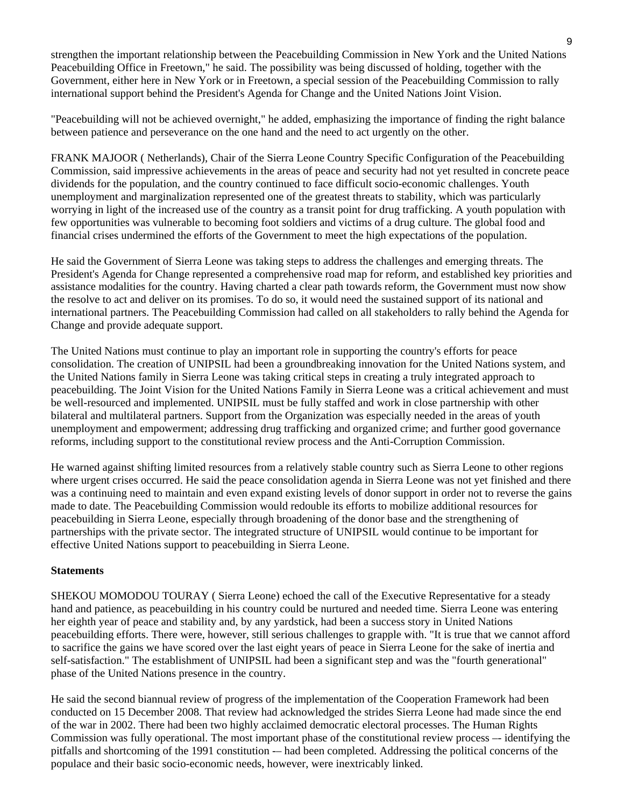strengthen the important relationship between the Peacebuilding Commission in New York and the United Nations Peacebuilding Office in Freetown," he said. The possibility was being discussed of holding, together with the Government, either here in New York or in Freetown, a special session of the Peacebuilding Commission to rally international support behind the President's Agenda for Change and the United Nations Joint Vision.

"Peacebuilding will not be achieved overnight," he added, emphasizing the importance of finding the right balance between patience and perseverance on the one hand and the need to act urgently on the other.

FRANK MAJOOR ( Netherlands), Chair of the Sierra Leone Country Specific Configuration of the Peacebuilding Commission, said impressive achievements in the areas of peace and security had not yet resulted in concrete peace dividends for the population, and the country continued to face difficult socio-economic challenges. Youth unemployment and marginalization represented one of the greatest threats to stability, which was particularly worrying in light of the increased use of the country as a transit point for drug trafficking. A youth population with few opportunities was vulnerable to becoming foot soldiers and victims of a drug culture. The global food and financial crises undermined the efforts of the Government to meet the high expectations of the population.

He said the Government of Sierra Leone was taking steps to address the challenges and emerging threats. The President's Agenda for Change represented a comprehensive road map for reform, and established key priorities and assistance modalities for the country. Having charted a clear path towards reform, the Government must now show the resolve to act and deliver on its promises. To do so, it would need the sustained support of its national and international partners. The Peacebuilding Commission had called on all stakeholders to rally behind the Agenda for Change and provide adequate support.

The United Nations must continue to play an important role in supporting the country's efforts for peace consolidation. The creation of UNIPSIL had been a groundbreaking innovation for the United Nations system, and the United Nations family in Sierra Leone was taking critical steps in creating a truly integrated approach to peacebuilding. The Joint Vision for the United Nations Family in Sierra Leone was a critical achievement and must be well-resourced and implemented. UNIPSIL must be fully staffed and work in close partnership with other bilateral and multilateral partners. Support from the Organization was especially needed in the areas of youth unemployment and empowerment; addressing drug trafficking and organized crime; and further good governance reforms, including support to the constitutional review process and the Anti-Corruption Commission.

He warned against shifting limited resources from a relatively stable country such as Sierra Leone to other regions where urgent crises occurred. He said the peace consolidation agenda in Sierra Leone was not yet finished and there was a continuing need to maintain and even expand existing levels of donor support in order not to reverse the gains made to date. The Peacebuilding Commission would redouble its efforts to mobilize additional resources for peacebuilding in Sierra Leone, especially through broadening of the donor base and the strengthening of partnerships with the private sector. The integrated structure of UNIPSIL would continue to be important for effective United Nations support to peacebuilding in Sierra Leone.

#### **Statements**

SHEKOU MOMODOU TOURAY ( Sierra Leone) echoed the call of the Executive Representative for a steady hand and patience, as peacebuilding in his country could be nurtured and needed time. Sierra Leone was entering her eighth year of peace and stability and, by any yardstick, had been a success story in United Nations peacebuilding efforts. There were, however, still serious challenges to grapple with. "It is true that we cannot afford to sacrifice the gains we have scored over the last eight years of peace in Sierra Leone for the sake of inertia and self-satisfaction." The establishment of UNIPSIL had been a significant step and was the "fourth generational" phase of the United Nations presence in the country.

He said the second biannual review of progress of the implementation of the Cooperation Framework had been conducted on 15 December 2008. That review had acknowledged the strides Sierra Leone had made since the end of the war in 2002. There had been two highly acclaimed democratic electoral processes. The Human Rights Commission was fully operational. The most important phase of the constitutional review process — identifying the pitfalls and shortcoming of the 1991 constitution -– had been completed. Addressing the political concerns of the populace and their basic socio-economic needs, however, were inextricably linked.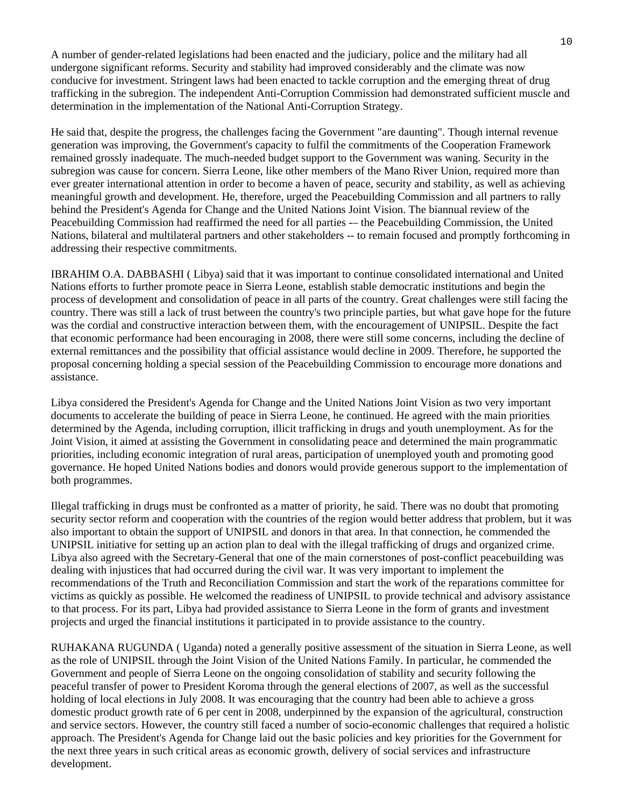A number of gender-related legislations had been enacted and the judiciary, police and the military had all undergone significant reforms. Security and stability had improved considerably and the climate was now conducive for investment. Stringent laws had been enacted to tackle corruption and the emerging threat of drug trafficking in the subregion. The independent Anti-Corruption Commission had demonstrated sufficient muscle and determination in the implementation of the National Anti-Corruption Strategy.

He said that, despite the progress, the challenges facing the Government "are daunting". Though internal revenue generation was improving, the Government's capacity to fulfil the commitments of the Cooperation Framework remained grossly inadequate. The much-needed budget support to the Government was waning. Security in the subregion was cause for concern. Sierra Leone, like other members of the Mano River Union, required more than ever greater international attention in order to become a haven of peace, security and stability, as well as achieving meaningful growth and development. He, therefore, urged the Peacebuilding Commission and all partners to rally behind the President's Agenda for Change and the United Nations Joint Vision. The biannual review of the Peacebuilding Commission had reaffirmed the need for all parties -– the Peacebuilding Commission, the United Nations, bilateral and multilateral partners and other stakeholders -- to remain focused and promptly forthcoming in addressing their respective commitments.

IBRAHIM O.A. DABBASHI ( Libya) said that it was important to continue consolidated international and United Nations efforts to further promote peace in Sierra Leone, establish stable democratic institutions and begin the process of development and consolidation of peace in all parts of the country. Great challenges were still facing the country. There was still a lack of trust between the country's two principle parties, but what gave hope for the future was the cordial and constructive interaction between them, with the encouragement of UNIPSIL. Despite the fact that economic performance had been encouraging in 2008, there were still some concerns, including the decline of external remittances and the possibility that official assistance would decline in 2009. Therefore, he supported the proposal concerning holding a special session of the Peacebuilding Commission to encourage more donations and assistance.

Libya considered the President's Agenda for Change and the United Nations Joint Vision as two very important documents to accelerate the building of peace in Sierra Leone, he continued. He agreed with the main priorities determined by the Agenda, including corruption, illicit trafficking in drugs and youth unemployment. As for the Joint Vision, it aimed at assisting the Government in consolidating peace and determined the main programmatic priorities, including economic integration of rural areas, participation of unemployed youth and promoting good governance. He hoped United Nations bodies and donors would provide generous support to the implementation of both programmes.

Illegal trafficking in drugs must be confronted as a matter of priority, he said. There was no doubt that promoting security sector reform and cooperation with the countries of the region would better address that problem, but it was also important to obtain the support of UNIPSIL and donors in that area. In that connection, he commended the UNIPSIL initiative for setting up an action plan to deal with the illegal trafficking of drugs and organized crime. Libya also agreed with the Secretary-General that one of the main cornerstones of post-conflict peacebuilding was dealing with injustices that had occurred during the civil war. It was very important to implement the recommendations of the Truth and Reconciliation Commission and start the work of the reparations committee for victims as quickly as possible. He welcomed the readiness of UNIPSIL to provide technical and advisory assistance to that process. For its part, Libya had provided assistance to Sierra Leone in the form of grants and investment projects and urged the financial institutions it participated in to provide assistance to the country.

RUHAKANA RUGUNDA ( Uganda) noted a generally positive assessment of the situation in Sierra Leone, as well as the role of UNIPSIL through the Joint Vision of the United Nations Family. In particular, he commended the Government and people of Sierra Leone on the ongoing consolidation of stability and security following the peaceful transfer of power to President Koroma through the general elections of 2007, as well as the successful holding of local elections in July 2008. It was encouraging that the country had been able to achieve a gross domestic product growth rate of 6 per cent in 2008, underpinned by the expansion of the agricultural, construction and service sectors. However, the country still faced a number of socio-economic challenges that required a holistic approach. The President's Agenda for Change laid out the basic policies and key priorities for the Government for the next three years in such critical areas as economic growth, delivery of social services and infrastructure development.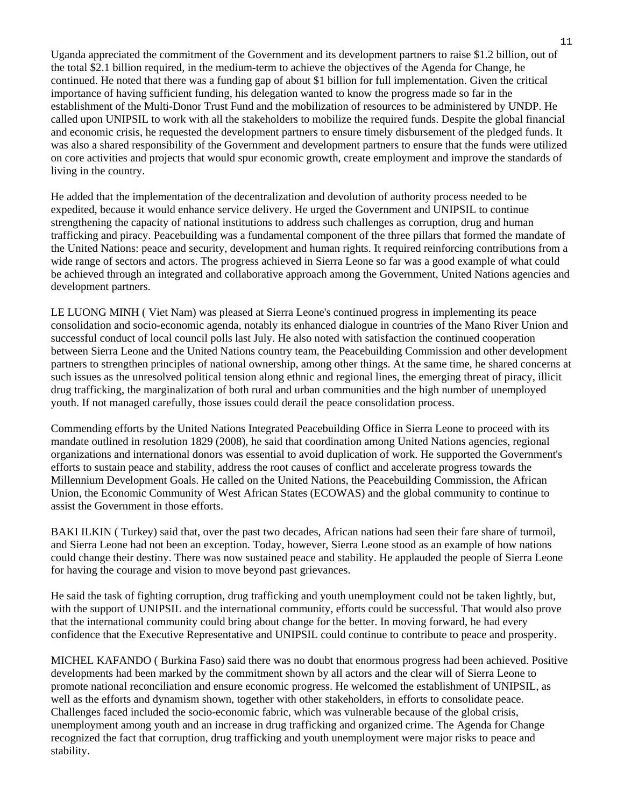Uganda appreciated the commitment of the Government and its development partners to raise \$1.2 billion, out of the total \$2.1 billion required, in the medium-term to achieve the objectives of the Agenda for Change, he continued. He noted that there was a funding gap of about \$1 billion for full implementation. Given the critical importance of having sufficient funding, his delegation wanted to know the progress made so far in the establishment of the Multi-Donor Trust Fund and the mobilization of resources to be administered by UNDP. He called upon UNIPSIL to work with all the stakeholders to mobilize the required funds. Despite the global financial and economic crisis, he requested the development partners to ensure timely disbursement of the pledged funds. It was also a shared responsibility of the Government and development partners to ensure that the funds were utilized on core activities and projects that would spur economic growth, create employment and improve the standards of living in the country.

He added that the implementation of the decentralization and devolution of authority process needed to be expedited, because it would enhance service delivery. He urged the Government and UNIPSIL to continue strengthening the capacity of national institutions to address such challenges as corruption, drug and human trafficking and piracy. Peacebuilding was a fundamental component of the three pillars that formed the mandate of the United Nations: peace and security, development and human rights. It required reinforcing contributions from a wide range of sectors and actors. The progress achieved in Sierra Leone so far was a good example of what could be achieved through an integrated and collaborative approach among the Government, United Nations agencies and development partners.

LE LUONG MINH ( Viet Nam) was pleased at Sierra Leone's continued progress in implementing its peace consolidation and socio-economic agenda, notably its enhanced dialogue in countries of the Mano River Union and successful conduct of local council polls last July. He also noted with satisfaction the continued cooperation between Sierra Leone and the United Nations country team, the Peacebuilding Commission and other development partners to strengthen principles of national ownership, among other things. At the same time, he shared concerns at such issues as the unresolved political tension along ethnic and regional lines, the emerging threat of piracy, illicit drug trafficking, the marginalization of both rural and urban communities and the high number of unemployed youth. If not managed carefully, those issues could derail the peace consolidation process.

Commending efforts by the United Nations Integrated Peacebuilding Office in Sierra Leone to proceed with its mandate outlined in resolution 1829 (2008), he said that coordination among United Nations agencies, regional organizations and international donors was essential to avoid duplication of work. He supported the Government's efforts to sustain peace and stability, address the root causes of conflict and accelerate progress towards the Millennium Development Goals. He called on the United Nations, the Peacebuilding Commission, the African Union, the Economic Community of West African States (ECOWAS) and the global community to continue to assist the Government in those efforts.

BAKI ILKIN ( Turkey) said that, over the past two decades, African nations had seen their fare share of turmoil, and Sierra Leone had not been an exception. Today, however, Sierra Leone stood as an example of how nations could change their destiny. There was now sustained peace and stability. He applauded the people of Sierra Leone for having the courage and vision to move beyond past grievances.

He said the task of fighting corruption, drug trafficking and youth unemployment could not be taken lightly, but, with the support of UNIPSIL and the international community, efforts could be successful. That would also prove that the international community could bring about change for the better. In moving forward, he had every confidence that the Executive Representative and UNIPSIL could continue to contribute to peace and prosperity.

MICHEL KAFANDO ( Burkina Faso) said there was no doubt that enormous progress had been achieved. Positive developments had been marked by the commitment shown by all actors and the clear will of Sierra Leone to promote national reconciliation and ensure economic progress. He welcomed the establishment of UNIPSIL, as well as the efforts and dynamism shown, together with other stakeholders, in efforts to consolidate peace. Challenges faced included the socio-economic fabric, which was vulnerable because of the global crisis, unemployment among youth and an increase in drug trafficking and organized crime. The Agenda for Change recognized the fact that corruption, drug trafficking and youth unemployment were major risks to peace and stability.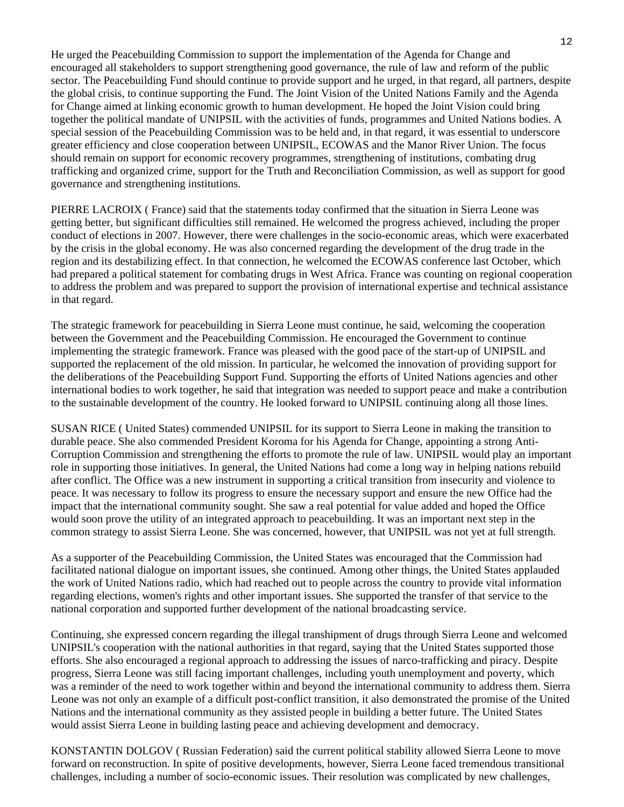He urged the Peacebuilding Commission to support the implementation of the Agenda for Change and encouraged all stakeholders to support strengthening good governance, the rule of law and reform of the public sector. The Peacebuilding Fund should continue to provide support and he urged, in that regard, all partners, despite the global crisis, to continue supporting the Fund. The Joint Vision of the United Nations Family and the Agenda for Change aimed at linking economic growth to human development. He hoped the Joint Vision could bring together the political mandate of UNIPSIL with the activities of funds, programmes and United Nations bodies. A special session of the Peacebuilding Commission was to be held and, in that regard, it was essential to underscore greater efficiency and close cooperation between UNIPSIL, ECOWAS and the Manor River Union. The focus should remain on support for economic recovery programmes, strengthening of institutions, combating drug trafficking and organized crime, support for the Truth and Reconciliation Commission, as well as support for good governance and strengthening institutions.

PIERRE LACROIX ( France) said that the statements today confirmed that the situation in Sierra Leone was getting better, but significant difficulties still remained. He welcomed the progress achieved, including the proper conduct of elections in 2007. However, there were challenges in the socio-economic areas, which were exacerbated by the crisis in the global economy. He was also concerned regarding the development of the drug trade in the region and its destabilizing effect. In that connection, he welcomed the ECOWAS conference last October, which had prepared a political statement for combating drugs in West Africa. France was counting on regional cooperation to address the problem and was prepared to support the provision of international expertise and technical assistance in that regard.

The strategic framework for peacebuilding in Sierra Leone must continue, he said, welcoming the cooperation between the Government and the Peacebuilding Commission. He encouraged the Government to continue implementing the strategic framework. France was pleased with the good pace of the start-up of UNIPSIL and supported the replacement of the old mission. In particular, he welcomed the innovation of providing support for the deliberations of the Peacebuilding Support Fund. Supporting the efforts of United Nations agencies and other international bodies to work together, he said that integration was needed to support peace and make a contribution to the sustainable development of the country. He looked forward to UNIPSIL continuing along all those lines.

SUSAN RICE ( United States) commended UNIPSIL for its support to Sierra Leone in making the transition to durable peace. She also commended President Koroma for his Agenda for Change, appointing a strong Anti-Corruption Commission and strengthening the efforts to promote the rule of law. UNIPSIL would play an important role in supporting those initiatives. In general, the United Nations had come a long way in helping nations rebuild after conflict. The Office was a new instrument in supporting a critical transition from insecurity and violence to peace. It was necessary to follow its progress to ensure the necessary support and ensure the new Office had the impact that the international community sought. She saw a real potential for value added and hoped the Office would soon prove the utility of an integrated approach to peacebuilding. It was an important next step in the common strategy to assist Sierra Leone. She was concerned, however, that UNIPSIL was not yet at full strength.

As a supporter of the Peacebuilding Commission, the United States was encouraged that the Commission had facilitated national dialogue on important issues, she continued. Among other things, the United States applauded the work of United Nations radio, which had reached out to people across the country to provide vital information regarding elections, women's rights and other important issues. She supported the transfer of that service to the national corporation and supported further development of the national broadcasting service.

Continuing, she expressed concern regarding the illegal transhipment of drugs through Sierra Leone and welcomed UNIPSIL's cooperation with the national authorities in that regard, saying that the United States supported those efforts. She also encouraged a regional approach to addressing the issues of narco-trafficking and piracy. Despite progress, Sierra Leone was still facing important challenges, including youth unemployment and poverty, which was a reminder of the need to work together within and beyond the international community to address them. Sierra Leone was not only an example of a difficult post-conflict transition, it also demonstrated the promise of the United Nations and the international community as they assisted people in building a better future. The United States would assist Sierra Leone in building lasting peace and achieving development and democracy.

KONSTANTIN DOLGOV ( Russian Federation) said the current political stability allowed Sierra Leone to move forward on reconstruction. In spite of positive developments, however, Sierra Leone faced tremendous transitional challenges, including a number of socio-economic issues. Their resolution was complicated by new challenges,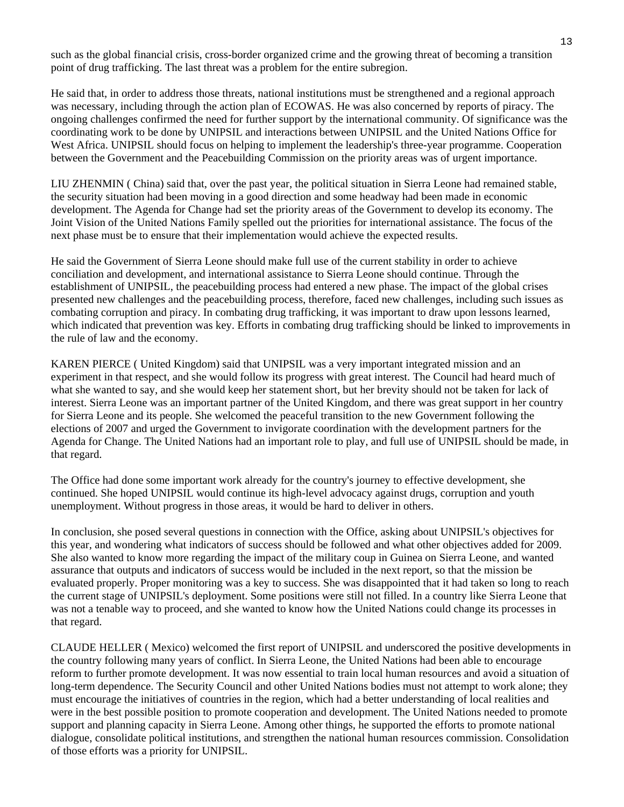such as the global financial crisis, cross-border organized crime and the growing threat of becoming a transition point of drug trafficking. The last threat was a problem for the entire subregion.

He said that, in order to address those threats, national institutions must be strengthened and a regional approach was necessary, including through the action plan of ECOWAS. He was also concerned by reports of piracy. The ongoing challenges confirmed the need for further support by the international community. Of significance was the coordinating work to be done by UNIPSIL and interactions between UNIPSIL and the United Nations Office for West Africa. UNIPSIL should focus on helping to implement the leadership's three-year programme. Cooperation between the Government and the Peacebuilding Commission on the priority areas was of urgent importance.

LIU ZHENMIN ( China) said that, over the past year, the political situation in Sierra Leone had remained stable, the security situation had been moving in a good direction and some headway had been made in economic development. The Agenda for Change had set the priority areas of the Government to develop its economy. The Joint Vision of the United Nations Family spelled out the priorities for international assistance. The focus of the next phase must be to ensure that their implementation would achieve the expected results.

He said the Government of Sierra Leone should make full use of the current stability in order to achieve conciliation and development, and international assistance to Sierra Leone should continue. Through the establishment of UNIPSIL, the peacebuilding process had entered a new phase. The impact of the global crises presented new challenges and the peacebuilding process, therefore, faced new challenges, including such issues as combating corruption and piracy. In combating drug trafficking, it was important to draw upon lessons learned, which indicated that prevention was key. Efforts in combating drug trafficking should be linked to improvements in the rule of law and the economy.

KAREN PIERCE ( United Kingdom) said that UNIPSIL was a very important integrated mission and an experiment in that respect, and she would follow its progress with great interest. The Council had heard much of what she wanted to say, and she would keep her statement short, but her brevity should not be taken for lack of interest. Sierra Leone was an important partner of the United Kingdom, and there was great support in her country for Sierra Leone and its people. She welcomed the peaceful transition to the new Government following the elections of 2007 and urged the Government to invigorate coordination with the development partners for the Agenda for Change. The United Nations had an important role to play, and full use of UNIPSIL should be made, in that regard.

The Office had done some important work already for the country's journey to effective development, she continued. She hoped UNIPSIL would continue its high-level advocacy against drugs, corruption and youth unemployment. Without progress in those areas, it would be hard to deliver in others.

In conclusion, she posed several questions in connection with the Office, asking about UNIPSIL's objectives for this year, and wondering what indicators of success should be followed and what other objectives added for 2009. She also wanted to know more regarding the impact of the military coup in Guinea on Sierra Leone, and wanted assurance that outputs and indicators of success would be included in the next report, so that the mission be evaluated properly. Proper monitoring was a key to success. She was disappointed that it had taken so long to reach the current stage of UNIPSIL's deployment. Some positions were still not filled. In a country like Sierra Leone that was not a tenable way to proceed, and she wanted to know how the United Nations could change its processes in that regard.

CLAUDE HELLER ( Mexico) welcomed the first report of UNIPSIL and underscored the positive developments in the country following many years of conflict. In Sierra Leone, the United Nations had been able to encourage reform to further promote development. It was now essential to train local human resources and avoid a situation of long-term dependence. The Security Council and other United Nations bodies must not attempt to work alone; they must encourage the initiatives of countries in the region, which had a better understanding of local realities and were in the best possible position to promote cooperation and development. The United Nations needed to promote support and planning capacity in Sierra Leone. Among other things, he supported the efforts to promote national dialogue, consolidate political institutions, and strengthen the national human resources commission. Consolidation of those efforts was a priority for UNIPSIL.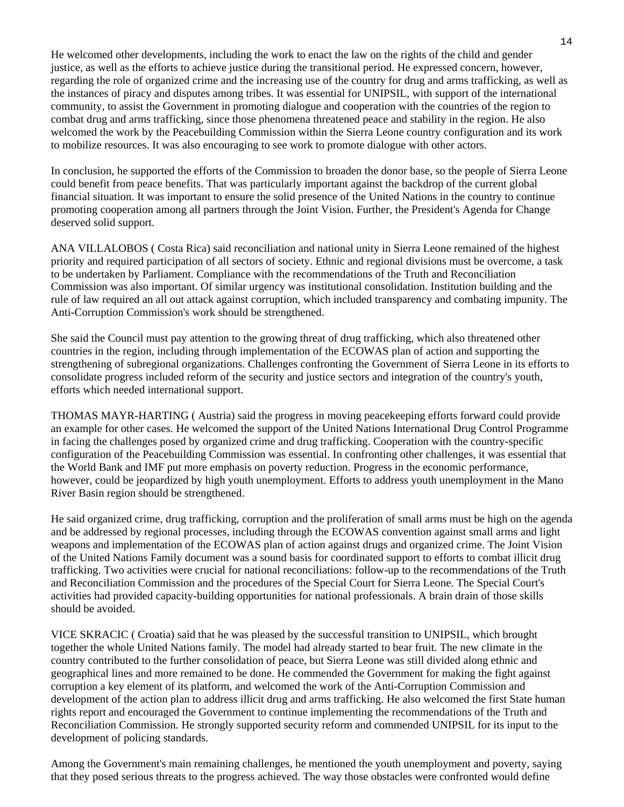He welcomed other developments, including the work to enact the law on the rights of the child and gender justice, as well as the efforts to achieve justice during the transitional period. He expressed concern, however, regarding the role of organized crime and the increasing use of the country for drug and arms trafficking, as well as the instances of piracy and disputes among tribes. It was essential for UNIPSIL, with support of the international community, to assist the Government in promoting dialogue and cooperation with the countries of the region to combat drug and arms trafficking, since those phenomena threatened peace and stability in the region. He also welcomed the work by the Peacebuilding Commission within the Sierra Leone country configuration and its work to mobilize resources. It was also encouraging to see work to promote dialogue with other actors.

In conclusion, he supported the efforts of the Commission to broaden the donor base, so the people of Sierra Leone could benefit from peace benefits. That was particularly important against the backdrop of the current global financial situation. It was important to ensure the solid presence of the United Nations in the country to continue promoting cooperation among all partners through the Joint Vision. Further, the President's Agenda for Change deserved solid support.

ANA VILLALOBOS ( Costa Rica) said reconciliation and national unity in Sierra Leone remained of the highest priority and required participation of all sectors of society. Ethnic and regional divisions must be overcome, a task to be undertaken by Parliament. Compliance with the recommendations of the Truth and Reconciliation Commission was also important. Of similar urgency was institutional consolidation. Institution building and the rule of law required an all out attack against corruption, which included transparency and combating impunity. The Anti-Corruption Commission's work should be strengthened.

She said the Council must pay attention to the growing threat of drug trafficking, which also threatened other countries in the region, including through implementation of the ECOWAS plan of action and supporting the strengthening of subregional organizations. Challenges confronting the Government of Sierra Leone in its efforts to consolidate progress included reform of the security and justice sectors and integration of the country's youth, efforts which needed international support.

THOMAS MAYR-HARTING ( Austria) said the progress in moving peacekeeping efforts forward could provide an example for other cases. He welcomed the support of the United Nations International Drug Control Programme in facing the challenges posed by organized crime and drug trafficking. Cooperation with the country-specific configuration of the Peacebuilding Commission was essential. In confronting other challenges, it was essential that the World Bank and IMF put more emphasis on poverty reduction. Progress in the economic performance, however, could be jeopardized by high youth unemployment. Efforts to address youth unemployment in the Mano River Basin region should be strengthened.

He said organized crime, drug trafficking, corruption and the proliferation of small arms must be high on the agenda and be addressed by regional processes, including through the ECOWAS convention against small arms and light weapons and implementation of the ECOWAS plan of action against drugs and organized crime. The Joint Vision of the United Nations Family document was a sound basis for coordinated support to efforts to combat illicit drug trafficking. Two activities were crucial for national reconciliations: follow-up to the recommendations of the Truth and Reconciliation Commission and the procedures of the Special Court for Sierra Leone. The Special Court's activities had provided capacity-building opportunities for national professionals. A brain drain of those skills should be avoided.

VICE SKRACIC ( Croatia) said that he was pleased by the successful transition to UNIPSIL, which brought together the whole United Nations family. The model had already started to bear fruit. The new climate in the country contributed to the further consolidation of peace, but Sierra Leone was still divided along ethnic and geographical lines and more remained to be done. He commended the Government for making the fight against corruption a key element of its platform, and welcomed the work of the Anti-Corruption Commission and development of the action plan to address illicit drug and arms trafficking. He also welcomed the first State human rights report and encouraged the Government to continue implementing the recommendations of the Truth and Reconciliation Commission. He strongly supported security reform and commended UNIPSIL for its input to the development of policing standards.

Among the Government's main remaining challenges, he mentioned the youth unemployment and poverty, saying that they posed serious threats to the progress achieved. The way those obstacles were confronted would define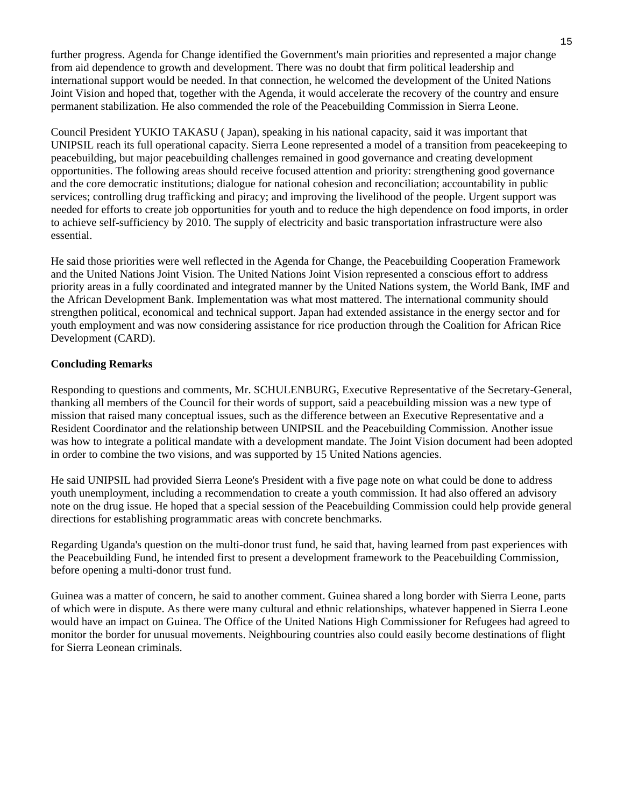further progress. Agenda for Change identified the Government's main priorities and represented a major change from aid dependence to growth and development. There was no doubt that firm political leadership and international support would be needed. In that connection, he welcomed the development of the United Nations Joint Vision and hoped that, together with the Agenda, it would accelerate the recovery of the country and ensure permanent stabilization. He also commended the role of the Peacebuilding Commission in Sierra Leone.

Council President YUKIO TAKASU ( Japan), speaking in his national capacity, said it was important that UNIPSIL reach its full operational capacity. Sierra Leone represented a model of a transition from peacekeeping to peacebuilding, but major peacebuilding challenges remained in good governance and creating development opportunities. The following areas should receive focused attention and priority: strengthening good governance and the core democratic institutions; dialogue for national cohesion and reconciliation; accountability in public services; controlling drug trafficking and piracy; and improving the livelihood of the people. Urgent support was needed for efforts to create job opportunities for youth and to reduce the high dependence on food imports, in order to achieve self-sufficiency by 2010. The supply of electricity and basic transportation infrastructure were also essential.

He said those priorities were well reflected in the Agenda for Change, the Peacebuilding Cooperation Framework and the United Nations Joint Vision. The United Nations Joint Vision represented a conscious effort to address priority areas in a fully coordinated and integrated manner by the United Nations system, the World Bank, IMF and the African Development Bank. Implementation was what most mattered. The international community should strengthen political, economical and technical support. Japan had extended assistance in the energy sector and for youth employment and was now considering assistance for rice production through the Coalition for African Rice Development (CARD).

#### **Concluding Remarks**

Responding to questions and comments, Mr. SCHULENBURG, Executive Representative of the Secretary-General, thanking all members of the Council for their words of support, said a peacebuilding mission was a new type of mission that raised many conceptual issues, such as the difference between an Executive Representative and a Resident Coordinator and the relationship between UNIPSIL and the Peacebuilding Commission. Another issue was how to integrate a political mandate with a development mandate. The Joint Vision document had been adopted in order to combine the two visions, and was supported by 15 United Nations agencies.

He said UNIPSIL had provided Sierra Leone's President with a five page note on what could be done to address youth unemployment, including a recommendation to create a youth commission. It had also offered an advisory note on the drug issue. He hoped that a special session of the Peacebuilding Commission could help provide general directions for establishing programmatic areas with concrete benchmarks.

Regarding Uganda's question on the multi-donor trust fund, he said that, having learned from past experiences with the Peacebuilding Fund, he intended first to present a development framework to the Peacebuilding Commission, before opening a multi-donor trust fund.

Guinea was a matter of concern, he said to another comment. Guinea shared a long border with Sierra Leone, parts of which were in dispute. As there were many cultural and ethnic relationships, whatever happened in Sierra Leone would have an impact on Guinea. The Office of the United Nations High Commissioner for Refugees had agreed to monitor the border for unusual movements. Neighbouring countries also could easily become destinations of flight for Sierra Leonean criminals.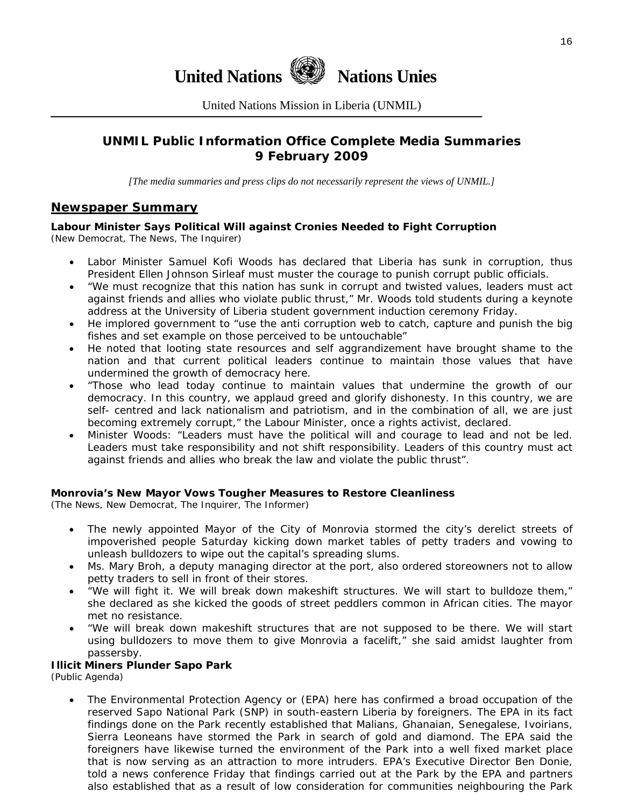

United Nations Mission in Liberia (UNMIL)

# **UNMIL Public Information Office Complete Media Summaries 9 February 2009**

*[The media summaries and press clips do not necessarily represent the views of UNMIL.]* 

#### **Newspaper Summary**

# **Labour Minister Says Political Will against Cronies Needed to Fight Corruption**

(New Democrat, The News, The Inquirer)

- Labor Minister Samuel Kofi Woods has declared that Liberia has sunk in corruption, thus President Ellen Johnson Sirleaf must muster the courage to punish corrupt public officials.
- "We must recognize that this nation has sunk in corrupt and twisted values, leaders must act against friends and allies who violate public thrust," Mr. Woods told students during a keynote address at the University of Liberia student government induction ceremony Friday.
- He implored government to "use the anti corruption web to catch, capture and punish the big fishes and set example on those perceived to be untouchable"
- He noted that looting state resources and self aggrandizement have brought shame to the nation and that current political leaders continue to maintain those values that have undermined the growth of democracy here.
- "Those who lead today continue to maintain values that undermine the growth of our democracy. In this country, we applaud greed and glorify dishonesty. In this country, we are self- centred and lack nationalism and patriotism, and in the combination of all, we are just becoming extremely corrupt," the Labour Minister, once a rights activist, declared.
- Minister Woods: "Leaders must have the political will and courage to lead and not be led. Leaders must take responsibility and not shift responsibility. Leaders of this country must act against friends and allies who break the law and violate the public thrust".

#### **Monrovia's New Mayor Vows Tougher Measures to Restore Cleanliness**

(The News, New Democrat, The Inquirer, The Informer)

- The newly appointed Mayor of the City of Monrovia stormed the city's derelict streets of impoverished people Saturday kicking down market tables of petty traders and vowing to unleash bulldozers to wipe out the capital's spreading slums.
- Ms. Mary Broh, a deputy managing director at the port, also ordered storeowners not to allow petty traders to sell in front of their stores.
- "We will fight it. We will break down makeshift structures. We will start to bulldoze them," she declared as she kicked the goods of street peddlers common in African cities. The mayor met no resistance.
- "We will break down makeshift structures that are not supposed to be there. We will start using bulldozers to move them to give Monrovia a facelift," she said amidst laughter from passersby.

#### **Illicit Miners Plunder Sapo Park**

(Public Agenda)

• The Environmental Protection Agency or (EPA) here has confirmed a broad occupation of the reserved Sapo National Park (SNP) in south-eastern Liberia by foreigners. The EPA in its fact findings done on the Park recently established that Malians, Ghanaian, Senegalese, Ivoirians, Sierra Leoneans have stormed the Park in search of gold and diamond. The EPA said the foreigners have likewise turned the environment of the Park into a well fixed market place that is now serving as an attraction to more intruders. EPA's Executive Director Ben Donie, told a news conference Friday that findings carried out at the Park by the EPA and partners also established that as a result of low consideration for communities neighbouring the Park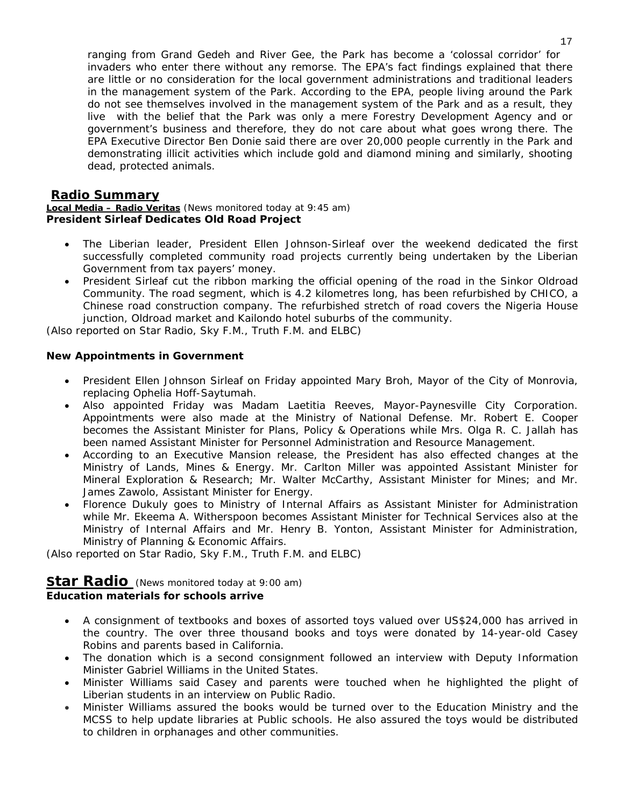ranging from Grand Gedeh and River Gee, the Park has become a 'colossal corridor' for invaders who enter there without any remorse. The EPA's fact findings explained that there are little or no consideration for the local government administrations and traditional leaders in the management system of the Park. According to the EPA, people living around the Park do not see themselves involved in the management system of the Park and as a result, they live with the belief that the Park was only a mere Forestry Development Agency and or government's business and therefore, they do not care about what goes wrong there. The EPA Executive Director Ben Donie said there are over 20,000 people currently in the Park and demonstrating illicit activities which include gold and diamond mining and similarly, shooting dead, protected animals.

#### **Radio Summary**

**Local Media – Radio Veritas** *(News monitored today at 9:45 am)* **President Sirleaf Dedicates Old Road Project** 

- The Liberian leader, President Ellen Johnson-Sirleaf over the weekend dedicated the first successfully completed community road projects currently being undertaken by the Liberian Government from tax payers' money.
- President Sirleaf cut the ribbon marking the official opening of the road in the Sinkor Oldroad Community. The road segment, which is 4.2 kilometres long, has been refurbished by CHICO, a Chinese road construction company. The refurbished stretch of road covers the Nigeria House junction, Oldroad market and Kailondo hotel suburbs of the community.

(*Also reported on Star Radio, Sky F.M., Truth F.M. and ELBC*)

#### **New Appointments in Government**

- President Ellen Johnson Sirleaf on Friday appointed Mary Broh, Mayor of the City of Monrovia, replacing Ophelia Hoff-Saytumah.
- Also appointed Friday was Madam Laetitia Reeves, Mayor-Paynesville City Corporation. Appointments were also made at the Ministry of National Defense. Mr. Robert E. Cooper becomes the Assistant Minister for Plans, Policy & Operations while Mrs. Olga R. C. Jallah has been named Assistant Minister for Personnel Administration and Resource Management.
- According to an Executive Mansion release, the President has also effected changes at the Ministry of Lands, Mines & Energy. Mr. Carlton Miller was appointed Assistant Minister for Mineral Exploration & Research; Mr. Walter McCarthy, Assistant Minister for Mines; and Mr. James Zawolo, Assistant Minister for Energy.
- Florence Dukuly goes to Ministry of Internal Affairs as Assistant Minister for Administration while Mr. Ekeema A. Witherspoon becomes Assistant Minister for Technical Services also at the Ministry of Internal Affairs and Mr. Henry B. Yonton, Assistant Minister for Administration, Ministry of Planning & Economic Affairs.

(*Also reported on Star Radio, Sky F.M., Truth F.M. and ELBC*)

# **Star Radio** *(News monitored today at 9:00 am)*

#### **Education materials for schools arrive**

- A consignment of textbooks and boxes of assorted toys valued over US\$24,000 has arrived in the country. The over three thousand books and toys were donated by 14-year-old Casey Robins and parents based in California.
- The donation which is a second consignment followed an interview with Deputy Information Minister Gabriel Williams in the United States.
- Minister Williams said Casey and parents were touched when he highlighted the plight of Liberian students in an interview on Public Radio.
- Minister Williams assured the books would be turned over to the Education Ministry and the MCSS to help update libraries at Public schools. He also assured the toys would be distributed to children in orphanages and other communities.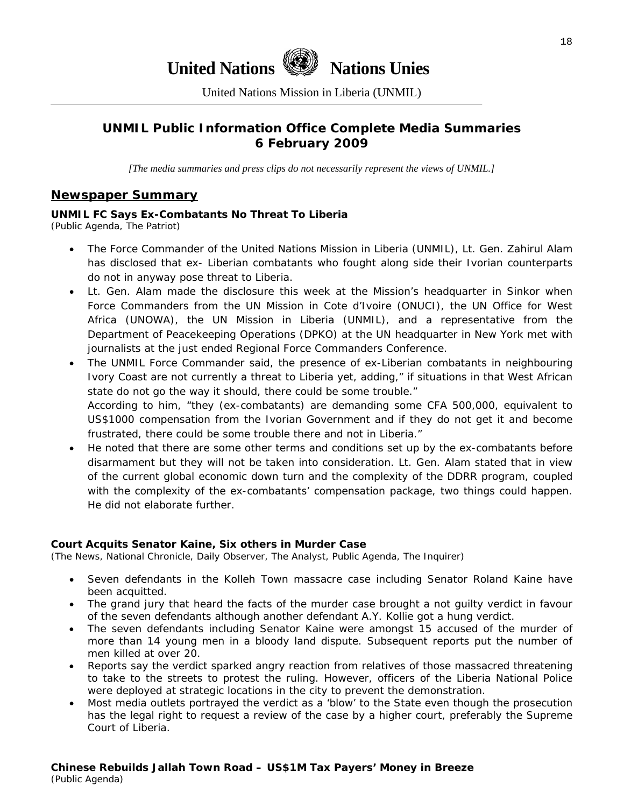# **United Nations Nations Unies**

United Nations Mission in Liberia (UNMIL)

# **UNMIL Public Information Office Complete Media Summaries 6 February 2009**

*[The media summaries and press clips do not necessarily represent the views of UNMIL.]* 

#### **Newspaper Summary**

#### **UNMIL FC Says Ex-Combatants No Threat To Liberia**

(Public Agenda, The Patriot)

- The Force Commander of the United Nations Mission in Liberia (UNMIL), Lt. Gen. Zahirul Alam has disclosed that ex- Liberian combatants who fought along side their Ivorian counterparts do not in anyway pose threat to Liberia.
- Lt. Gen. Alam made the disclosure this week at the Mission's headquarter in Sinkor when Force Commanders from the UN Mission in Cote d'Ivoire (ONUCI), the UN Office for West Africa (UNOWA), the UN Mission in Liberia (UNMIL), and a representative from the Department of Peacekeeping Operations (DPKO) at the UN headquarter in New York met with journalists at the just ended Regional Force Commanders Conference.
- The UNMIL Force Commander said, the presence of ex-Liberian combatants in neighbouring Ivory Coast are not currently a threat to Liberia yet, adding," if situations in that West African state do not go the way it should, there could be some trouble." According to him, "they (ex-combatants) are demanding some CFA 500,000, equivalent to US\$1000 compensation from the Ivorian Government and if they do not get it and become frustrated, there could be some trouble there and not in Liberia."
- He noted that there are some other terms and conditions set up by the ex-combatants before disarmament but they will not be taken into consideration. Lt. Gen. Alam stated that in view of the current global economic down turn and the complexity of the DDRR program, coupled with the complexity of the ex-combatants' compensation package, two things could happen. He did not elaborate further.

#### **Court Acquits Senator Kaine, Six others in Murder Case**

(The News, National Chronicle, Daily Observer, The Analyst, Public Agenda, The Inquirer)

- Seven defendants in the Kolleh Town massacre case including Senator Roland Kaine have been acquitted.
- The grand jury that heard the facts of the murder case brought a not guilty verdict in favour of the seven defendants although another defendant A.Y. Kollie got a hung verdict.
- The seven defendants including Senator Kaine were amongst 15 accused of the murder of more than 14 young men in a bloody land dispute. Subsequent reports put the number of men killed at over 20.
- Reports say the verdict sparked angry reaction from relatives of those massacred threatening to take to the streets to protest the ruling. However, officers of the Liberia National Police were deployed at strategic locations in the city to prevent the demonstration.
- Most media outlets portrayed the verdict as a 'blow' to the State even though the prosecution has the legal right to request a review of the case by a higher court, preferably the Supreme Court of Liberia.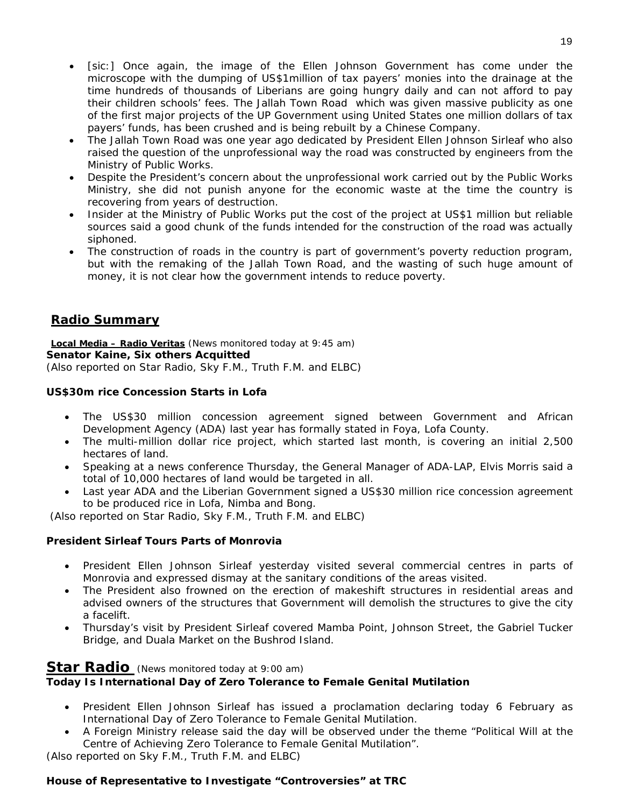- [sic:] Once again, the image of the Ellen Johnson Government has come under the microscope with the dumping of US\$1million of tax payers' monies into the drainage at the time hundreds of thousands of Liberians are going hungry daily and can not afford to pay their children schools' fees. The Jallah Town Road which was given massive publicity as one of the first major projects of the UP Government using United States one million dollars of tax payers' funds, has been crushed and is being rebuilt by a Chinese Company.
- The Jallah Town Road was one year ago dedicated by President Ellen Johnson Sirleaf who also raised the question of the unprofessional way the road was constructed by engineers from the Ministry of Public Works.
- Despite the President's concern about the unprofessional work carried out by the Public Works Ministry, she did not punish anyone for the economic waste at the time the country is recovering from years of destruction.
- Insider at the Ministry of Public Works put the cost of the project at US\$1 million but reliable sources said a good chunk of the funds intended for the construction of the road was actually siphoned.
- The construction of roads in the country is part of government's poverty reduction program, but with the remaking of the Jallah Town Road, and the wasting of such huge amount of money, it is not clear how the government intends to reduce poverty.

# **Radio Summary**

**Local Media – Radio Veritas** *(News monitored today at 9:45 am)* **Senator Kaine, Six others Acquitted**  (*Also reported on Star Radio, Sky F.M., Truth F.M. and ELBC*)

#### **US\$30m rice Concession Starts in Lofa**

- The US\$30 million concession agreement signed between Government and African Development Agency (ADA) last year has formally stated in Foya, Lofa County.
- The multi-million dollar rice project, which started last month, is covering an initial 2,500 hectares of land.
- Speaking at a news conference Thursday, the General Manager of ADA-LAP, Elvis Morris said a total of 10,000 hectares of land would be targeted in all.
- Last year ADA and the Liberian Government signed a US\$30 million rice concession agreement to be produced rice in Lofa, Nimba and Bong.

(*Also reported on Star Radio, Sky F.M., Truth F.M. and ELBC*)

#### **President Sirleaf Tours Parts of Monrovia**

- President Ellen Johnson Sirleaf yesterday visited several commercial centres in parts of Monrovia and expressed dismay at the sanitary conditions of the areas visited.
- The President also frowned on the erection of makeshift structures in residential areas and advised owners of the structures that Government will demolish the structures to give the city a facelift.
- Thursday's visit by President Sirleaf covered Mamba Point, Johnson Street, the Gabriel Tucker Bridge, and Duala Market on the Bushrod Island.

#### **Star Radio** *(News monitored today at 9:00 am)*

# **Today Is International Day of Zero Tolerance to Female Genital Mutilation**

- President Ellen Johnson Sirleaf has issued a proclamation declaring today 6 February as International Day of Zero Tolerance to Female Genital Mutilation.
- A Foreign Ministry release said the day will be observed under the theme "Political Will at the Centre of Achieving Zero Tolerance to Female Genital Mutilation".

(*Also reported on Sky F.M., Truth F.M. and ELBC*)

# **House of Representative to Investigate "Controversies" at TRC**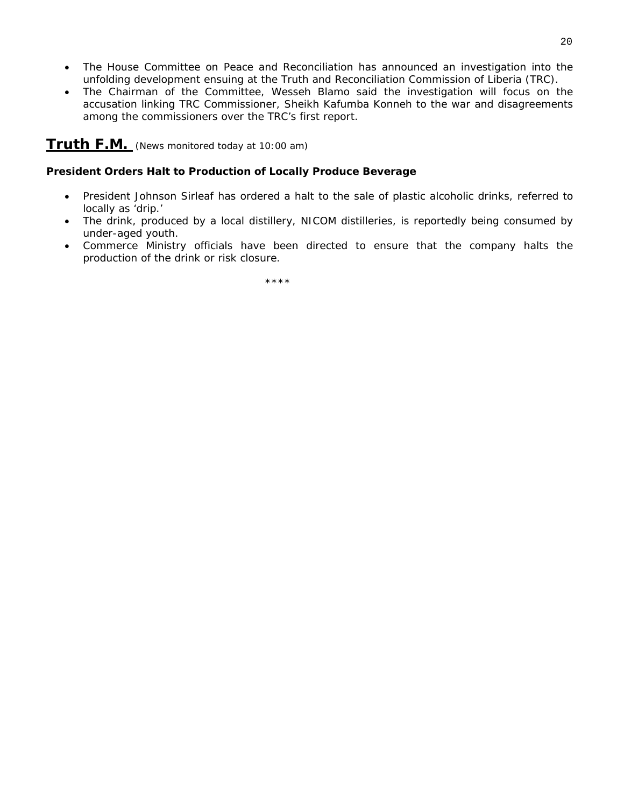- The House Committee on Peace and Reconciliation has announced an investigation into the unfolding development ensuing at the Truth and Reconciliation Commission of Liberia (TRC).
- The Chairman of the Committee, Wesseh Blamo said the investigation will focus on the accusation linking TRC Commissioner, Sheikh Kafumba Konneh to the war and disagreements among the commissioners over the TRC's first report.

## **Truth F.M.** *(News monitored today at 10:00 am)*

#### **President Orders Halt to Production of Locally Produce Beverage**

- President Johnson Sirleaf has ordered a halt to the sale of plastic alcoholic drinks, referred to locally as 'drip.'
- The drink, produced by a local distillery, NICOM distilleries, is reportedly being consumed by under-aged youth.
- Commerce Ministry officials have been directed to ensure that the company halts the production of the drink or risk closure.

\*\*\*\*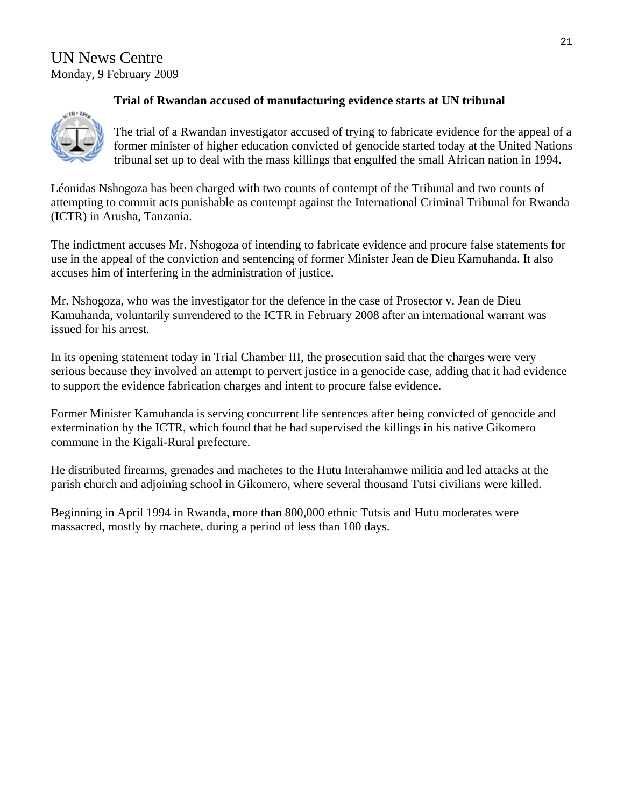# UN News Centre Monday, 9 February 2009

# **Trial of Rwandan accused of manufacturing evidence starts at UN tribunal**

The trial of a Rwandan investigator accused of trying to fabricate evidence for the appeal of a former minister of higher education convicted of genocide started today at the United Nations tribunal set up to deal with the mass killings that engulfed the small African nation in 1994.

Léonidas Nshogoza has been charged with two counts of contempt of the Tribunal and two counts of attempting to commit acts punishable as contempt against the International Criminal Tribunal for Rwanda ([ICTR](http://69.94.11.53/ENGLISH/PRESSREL/2009/585.html)) in Arusha, Tanzania.

The indictment accuses Mr. Nshogoza of intending to fabricate evidence and procure false statements for use in the appeal of the conviction and sentencing of former Minister Jean de Dieu Kamuhanda. It also accuses him of interfering in the administration of justice.

Mr. Nshogoza, who was the investigator for the defence in the case of Prosector v. Jean de Dieu Kamuhanda, voluntarily surrendered to the ICTR in February 2008 after an international warrant was issued for his arrest.

In its opening statement today in Trial Chamber III, the prosecution said that the charges were very serious because they involved an attempt to pervert justice in a genocide case, adding that it had evidence to support the evidence fabrication charges and intent to procure false evidence.

Former Minister Kamuhanda is serving concurrent life sentences after being convicted of genocide and extermination by the ICTR, which found that he had supervised the killings in his native Gikomero commune in the Kigali-Rural prefecture.

He distributed firearms, grenades and machetes to the Hutu Interahamwe militia and led attacks at the parish church and adjoining school in Gikomero, where several thousand Tutsi civilians were killed.

Beginning in April 1994 in Rwanda, more than 800,000 ethnic Tutsis and Hutu moderates were massacred, mostly by machete, during a period of less than 100 days.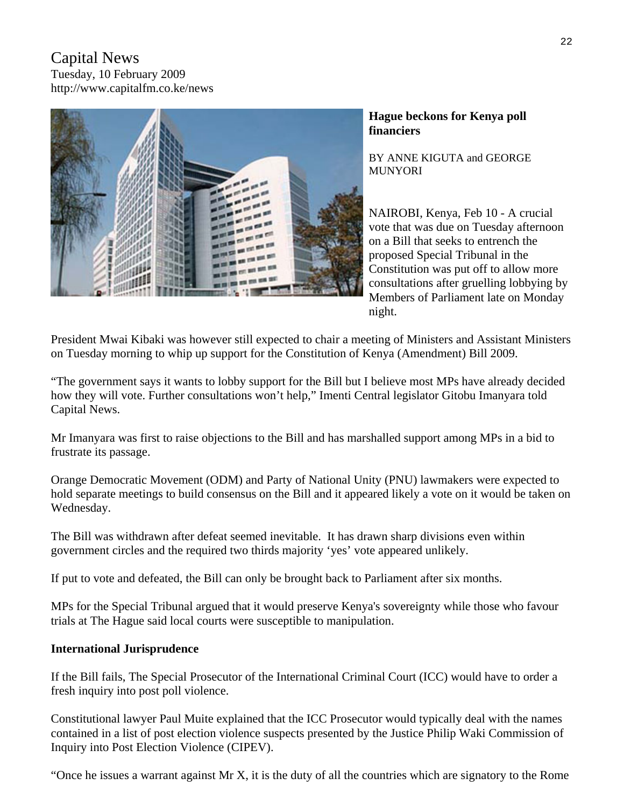# Capital News Tuesday, 10 February 2009 http://www.capitalfm.co.ke/news



### **Hague beckons for Kenya poll financiers**

BY ANNE KIGUTA and GEORGE MUNYORI

NAIROBI, Kenya, Feb 10 - A crucial vote that was due on Tuesday afternoon on a Bill that seeks to entrench the proposed Special Tribunal in the Constitution was put off to allow more consultations after gruelling lobbying by Members of Parliament late on Monday night.

President Mwai Kibaki was however still expected to chair a meeting of Ministers and Assistant Ministers on Tuesday morning to whip up support for the Constitution of Kenya (Amendment) Bill 2009.

"The government says it wants to lobby support for the Bill but I believe most MPs have already decided how they will vote. Further consultations won't help," Imenti Central legislator Gitobu Imanyara told Capital News.

Mr Imanyara was first to raise objections to the Bill and has marshalled support among MPs in a bid to frustrate its passage.

Orange Democratic Movement (ODM) and Party of National Unity (PNU) lawmakers were expected to hold separate meetings to build consensus on the Bill and it appeared likely a vote on it would be taken on Wednesday.

The Bill was withdrawn after defeat seemed inevitable. It has drawn sharp divisions even within government circles and the required two thirds majority 'yes' vote appeared unlikely.

If put to vote and defeated, the Bill can only be brought back to Parliament after six months.

MPs for the Special Tribunal argued that it would preserve Kenya's sovereignty while those who favour trials at The Hague said local courts were susceptible to manipulation.

#### **International Jurisprudence**

If the Bill fails, The Special Prosecutor of the International Criminal Court (ICC) would have to order a fresh inquiry into post poll violence.

Constitutional lawyer Paul Muite explained that the ICC Prosecutor would typically deal with the names contained in a list of post election violence suspects presented by the Justice Philip Waki Commission of Inquiry into Post Election Violence (CIPEV).

"Once he issues a warrant against Mr X, it is the duty of all the countries which are signatory to the Rome